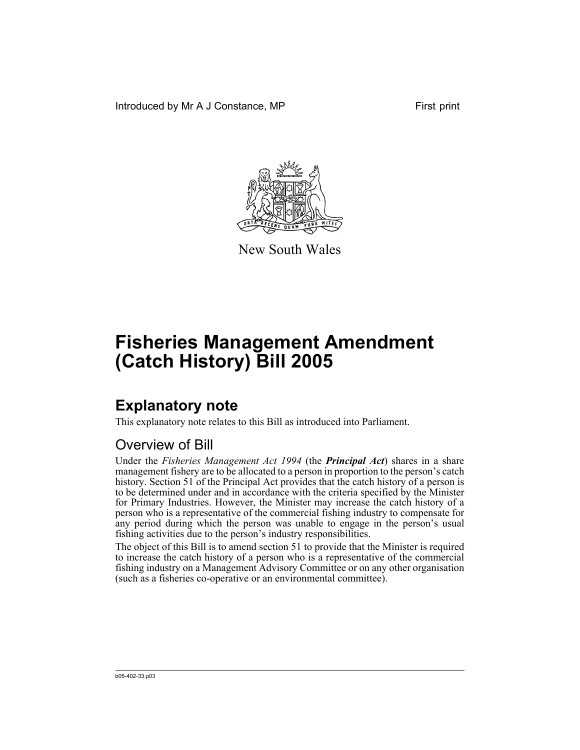Introduced by Mr A J Constance, MP First print



New South Wales

# **Fisheries Management Amendment (Catch History) Bill 2005**

## **Explanatory note**

This explanatory note relates to this Bill as introduced into Parliament.

### Overview of Bill

Under the *Fisheries Management Act 1994* (the *Principal Act*) shares in a share management fishery are to be allocated to a person in proportion to the person's catch history. Section 51 of the Principal Act provides that the catch history of a person is to be determined under and in accordance with the criteria specified by the Minister for Primary Industries. However, the Minister may increase the catch history of a person who is a representative of the commercial fishing industry to compensate for any period during which the person was unable to engage in the person's usual fishing activities due to the person's industry responsibilities.

The object of this Bill is to amend section 51 to provide that the Minister is required to increase the catch history of a person who is a representative of the commercial fishing industry on a Management Advisory Committee or on any other organisation (such as a fisheries co-operative or an environmental committee).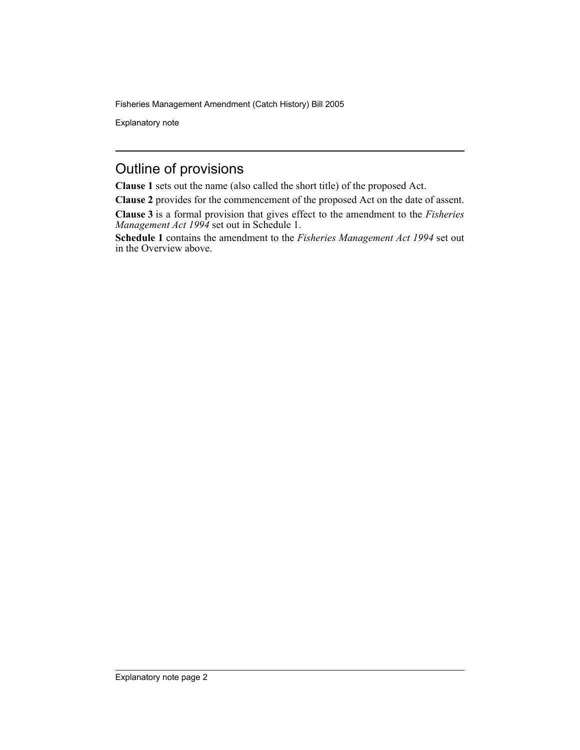Fisheries Management Amendment (Catch History) Bill 2005

Explanatory note

#### Outline of provisions

**Clause 1** sets out the name (also called the short title) of the proposed Act.

**Clause 2** provides for the commencement of the proposed Act on the date of assent.

**Clause 3** is a formal provision that gives effect to the amendment to the *Fisheries Management Act 1994* set out in Schedule 1.

**Schedule 1** contains the amendment to the *Fisheries Management Act 1994* set out in the Overview above.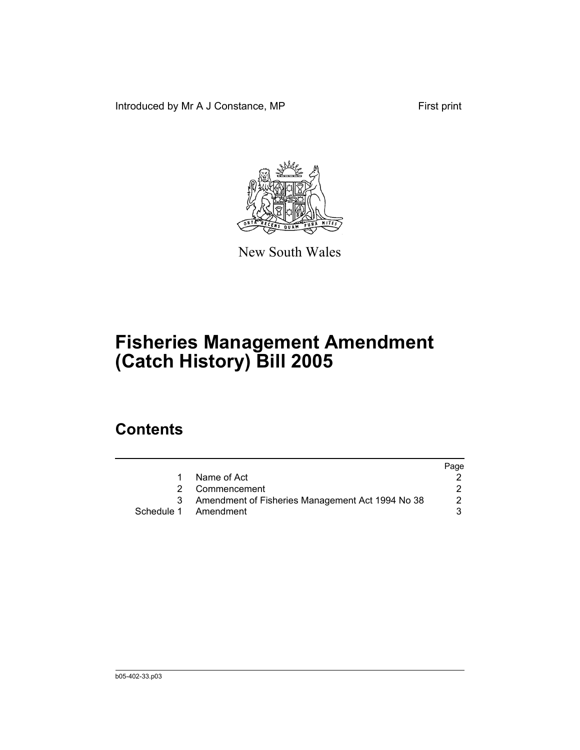Introduced by Mr A J Constance, MP First print



New South Wales

## **Fisheries Management Amendment (Catch History) Bill 2005**

#### **Contents**

|                                                  | Page |
|--------------------------------------------------|------|
| Name of Act                                      |      |
| Commencement                                     |      |
| Amendment of Fisheries Management Act 1994 No 38 |      |
| Schedule 1 Amendment                             |      |
|                                                  |      |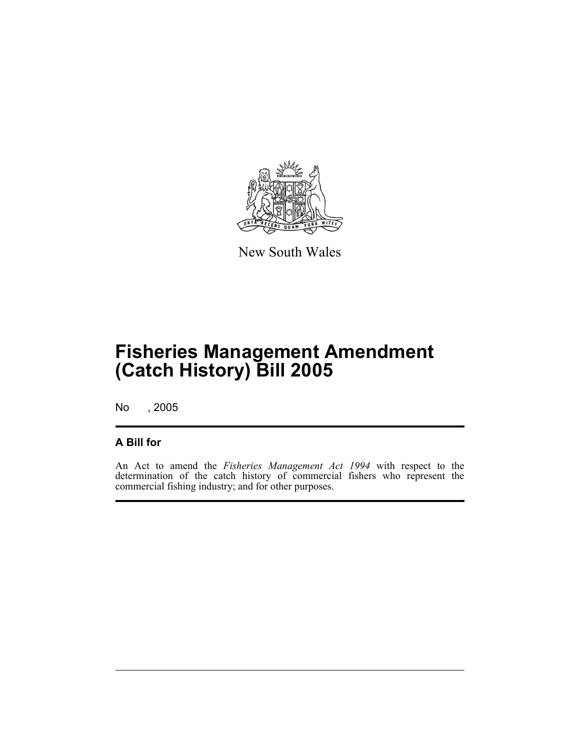

New South Wales

## **Fisheries Management Amendment (Catch History) Bill 2005**

No , 2005

#### **A Bill for**

An Act to amend the *Fisheries Management Act 1994* with respect to the determination of the catch history of commercial fishers who represent the commercial fishing industry; and for other purposes.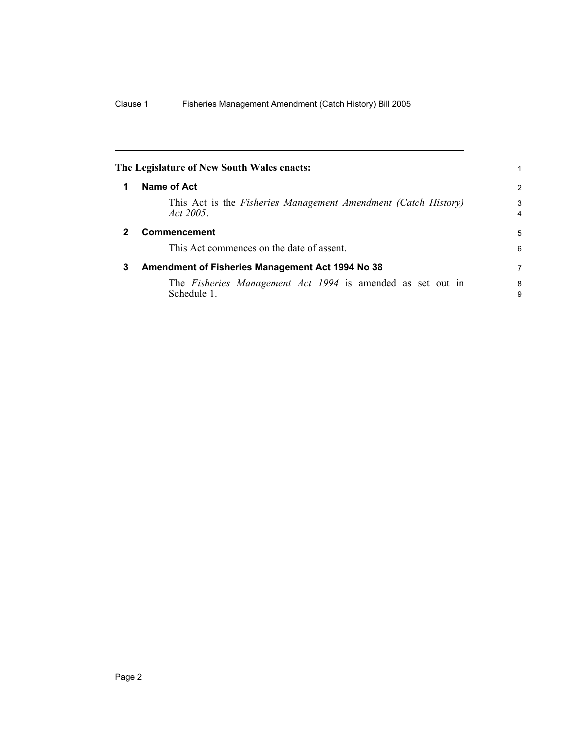| The Legislature of New South Wales enacts:                                       | 1                   |
|----------------------------------------------------------------------------------|---------------------|
| Name of Act                                                                      | 2                   |
| This Act is the Fisheries Management Amendment (Catch History)<br>Act 2005.      | 3<br>$\overline{4}$ |
| Commencement                                                                     |                     |
| This Act commences on the date of assent.                                        | 6                   |
| Amendment of Fisheries Management Act 1994 No 38<br>3                            |                     |
| The <i>Fisheries Management Act 1994</i> is amended as set out in<br>Schedule 1. | 8<br>9              |
|                                                                                  |                     |